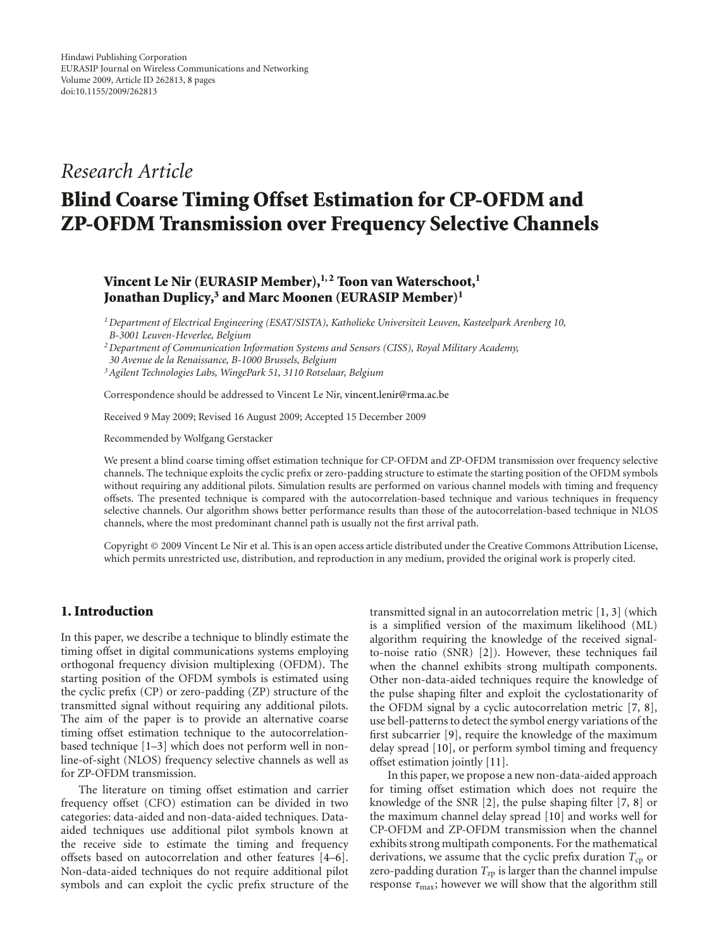# *Research Article*

# **Blind Coarse Timing Offset Estimation for CP-OFDM and ZP-OFDM Transmission over Frequency Selective Channels**

## **Vincent Le Nir (EURASIP Member),<sup>1,2</sup> Toon van Waterschoot,<sup>1</sup> Jonathan Duplicy,3 and Marc Moonen (EURASIP Member)1**

*1Department of Electrical Engineering (ESAT/SISTA), Katholieke Universiteit Leuven, Kasteelpark Arenberg 10, B-3001 Leuven-Heverlee, Belgium*

*2Department of Communication Information Systems and Sensors (CISS), Royal Military Academy,*

- *30 Avenue de la Renaissance, B-1000 Brussels, Belgium*
- *3Agilent Technologies Labs, WingePark 51, 3110 Rotselaar, Belgium*

Correspondence should be addressed to Vincent Le Nir, vincent.lenir@rma.ac.be

Received 9 May 2009; Revised 16 August 2009; Accepted 15 December 2009

Recommended by Wolfgang Gerstacker

We present a blind coarse timing offset estimation technique for CP-OFDM and ZP-OFDM transmission over frequency selective channels. The technique exploits the cyclic prefix or zero-padding structure to estimate the starting position of the OFDM symbols without requiring any additional pilots. Simulation results are performed on various channel models with timing and frequency offsets. The presented technique is compared with the autocorrelation-based technique and various techniques in frequency selective channels. Our algorithm shows better performance results than those of the autocorrelation-based technique in NLOS channels, where the most predominant channel path is usually not the first arrival path.

Copyright © 2009 Vincent Le Nir et al. This is an open access article distributed under the Creative Commons Attribution License, which permits unrestricted use, distribution, and reproduction in any medium, provided the original work is properly cited.

#### **1. Introduction**

In this paper, we describe a technique to blindly estimate the timing offset in digital communications systems employing orthogonal frequency division multiplexing (OFDM). The starting position of the OFDM symbols is estimated using the cyclic prefix (CP) or zero-padding (ZP) structure of the transmitted signal without requiring any additional pilots. The aim of the paper is to provide an alternative coarse timing offset estimation technique to the autocorrelationbased technique [1–3] which does not perform well in nonline-of-sight (NLOS) frequency selective channels as well as for ZP-OFDM transmission.

The literature on timing offset estimation and carrier frequency offset (CFO) estimation can be divided in two categories: data-aided and non-data-aided techniques. Dataaided techniques use additional pilot symbols known at the receive side to estimate the timing and frequency offsets based on autocorrelation and other features [4–6]. Non-data-aided techniques do not require additional pilot symbols and can exploit the cyclic prefix structure of the transmitted signal in an autocorrelation metric [1, 3] (which is a simplified version of the maximum likelihood (ML) algorithm requiring the knowledge of the received signalto-noise ratio (SNR) [2]). However, these techniques fail when the channel exhibits strong multipath components. Other non-data-aided techniques require the knowledge of the pulse shaping filter and exploit the cyclostationarity of the OFDM signal by a cyclic autocorrelation metric [7, 8], use bell-patterns to detect the symbol energy variations of the first subcarrier [9], require the knowledge of the maximum delay spread [10], or perform symbol timing and frequency offset estimation jointly [11].

In this paper, we propose a new non-data-aided approach for timing offset estimation which does not require the knowledge of the SNR [2], the pulse shaping filter [7, 8] or the maximum channel delay spread [10] and works well for CP-OFDM and ZP-OFDM transmission when the channel exhibits strong multipath components. For the mathematical derivations, we assume that the cyclic prefix duration  $T_{cp}$  or zero-padding duration  $T_{zp}$  is larger than the channel impulse response  $\tau_{\text{max}}$ ; however we will show that the algorithm still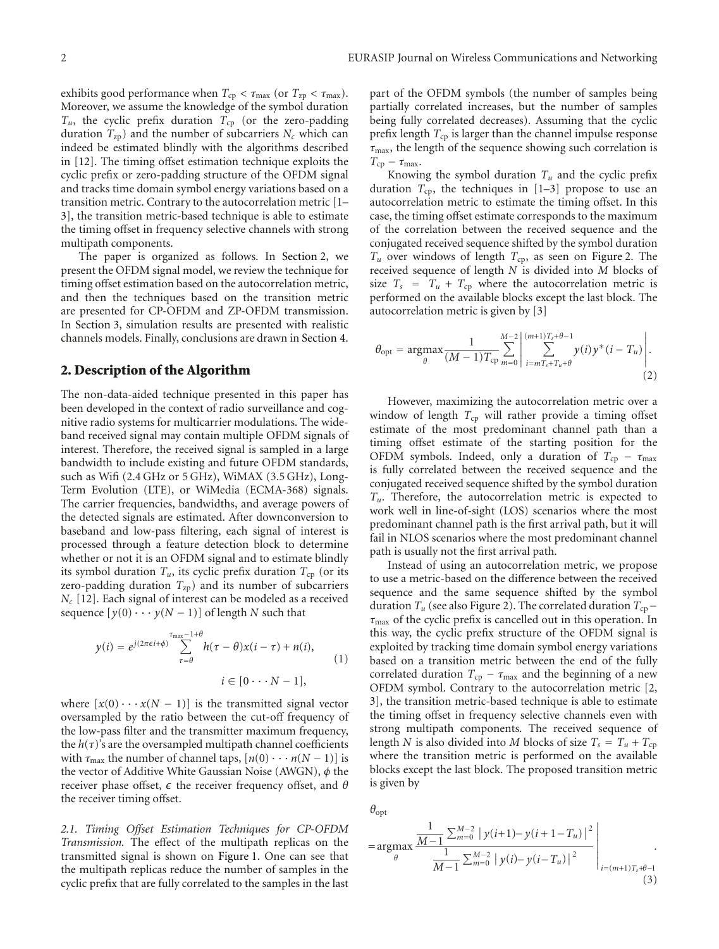exhibits good performance when  $T_{cp} < \tau_{max}$  (or  $T_{zp} < \tau_{max}$ ). Moreover, we assume the knowledge of the symbol duration  $T_u$ , the cyclic prefix duration  $T_{cp}$  (or the zero-padding duration  $T_{zp}$ ) and the number of subcarriers  $N_c$  which can indeed be estimated blindly with the algorithms described in [12]. The timing offset estimation technique exploits the cyclic prefix or zero-padding structure of the OFDM signal and tracks time domain symbol energy variations based on a transition metric. Contrary to the autocorrelation metric [1– 3], the transition metric-based technique is able to estimate the timing offset in frequency selective channels with strong multipath components.

The paper is organized as follows. In Section 2, we present the OFDM signal model, we review the technique for timing offset estimation based on the autocorrelation metric, and then the techniques based on the transition metric are presented for CP-OFDM and ZP-OFDM transmission. In Section 3, simulation results are presented with realistic channels models. Finally, conclusions are drawn in Section 4.

#### **2. Description of the Algorithm**

The non-data-aided technique presented in this paper has been developed in the context of radio surveillance and cognitive radio systems for multicarrier modulations. The wideband received signal may contain multiple OFDM signals of interest. Therefore, the received signal is sampled in a large bandwidth to include existing and future OFDM standards, such as Wifi (2.4 GHz or 5 GHz), WiMAX (3.5 GHz), Long-Term Evolution (LTE), or WiMedia (ECMA-368) signals. The carrier frequencies, bandwidths, and average powers of the detected signals are estimated. After downconversion to baseband and low-pass filtering, each signal of interest is processed through a feature detection block to determine whether or not it is an OFDM signal and to estimate blindly its symbol duration  $T_u$ , its cyclic prefix duration  $T_{cp}$  (or its zero-padding duration  $T_{\text{zp}}$ ) and its number of subcarriers *N<sub>c</sub>* [12]. Each signal of interest can be modeled as a received sequence  $[y(0) \cdots y(N-1)]$  of length *N* such that

$$
y(i) = e^{j(2\pi\epsilon i + \phi)} \sum_{\tau=\theta}^{\tau_{\text{max}}-1+\theta} h(\tau-\theta)x(i-\tau) + n(i),
$$
  
\n
$$
i \in [0 \cdots N-1],
$$
\n(1)

where  $[x(0) \cdots x(N-1)]$  is the transmitted signal vector oversampled by the ratio between the cut-off frequency of the low-pass filter and the transmitter maximum frequency, the  $h(\tau)$ 's are the oversampled multipath channel coefficients with  $\tau_{\text{max}}$  the number of channel taps,  $[n(0) \cdots n(N-1)]$  is the vector of Additive White Gaussian Noise (AWGN), *φ* the receiver phase offset, *ε* the receiver frequency offset, and θ the receiver timing offset.

*2.1. Timing Offset Estimation Techniques for CP-OFDM Transmission.* The effect of the multipath replicas on the transmitted signal is shown on Figure 1. One can see that the multipath replicas reduce the number of samples in the cyclic prefix that are fully correlated to the samples in the last part of the OFDM symbols (the number of samples being partially correlated increases, but the number of samples being fully correlated decreases). Assuming that the cyclic prefix length *T*cp is larger than the channel impulse response *τ*max, the length of the sequence showing such correlation is  $T_{\text{cp}} - \tau_{\text{max}}$ .

Knowing the symbol duration  $T_u$  and the cyclic prefix duration  $T_{\rm cp}$ , the techniques in  $[1-3]$  propose to use an autocorrelation metric to estimate the timing offset. In this case, the timing offset estimate corresponds to the maximum of the correlation between the received sequence and the conjugated received sequence shifted by the symbol duration  $T_u$  over windows of length  $T_{cp}$ , as seen on Figure 2. The received sequence of length *N* is divided into *M* blocks of size  $T_s = T_u + T_{cp}$  where the autocorrelation metric is performed on the available blocks except the last block. The autocorrelation metric is given by [3]

$$
\theta_{\rm opt} = \underset{\theta}{\text{argmax}} \frac{1}{(M-1)T_{\rm cp}} \sum_{m=0}^{M-2} \left| \sum_{i=mT_s+T_u+\theta}^{(m+1)T_s+\theta-1} y(i) y^*(i-T_u) \right|.
$$
\n(2)

However, maximizing the autocorrelation metric over a window of length  $T_{cp}$  will rather provide a timing offset estimate of the most predominant channel path than a timing offset estimate of the starting position for the OFDM symbols. Indeed, only a duration of  $T_{cp} - \tau_{max}$ is fully correlated between the received sequence and the conjugated received sequence shifted by the symbol duration *Tu*. Therefore, the autocorrelation metric is expected to work well in line-of-sight (LOS) scenarios where the most predominant channel path is the first arrival path, but it will fail in NLOS scenarios where the most predominant channel path is usually not the first arrival path.

Instead of using an autocorrelation metric, we propose to use a metric-based on the difference between the received sequence and the same sequence shifted by the symbol duration  $T_u$  (see also Figure 2). The correlated duration  $T_{cp}$ − *τ*max of the cyclic prefix is cancelled out in this operation. In this way, the cyclic prefix structure of the OFDM signal is exploited by tracking time domain symbol energy variations based on a transition metric between the end of the fully correlated duration  $T_{cp} - \tau_{max}$  and the beginning of a new OFDM symbol. Contrary to the autocorrelation metric [2, 3], the transition metric-based technique is able to estimate the timing offset in frequency selective channels even with strong multipath components. The received sequence of length *N* is also divided into *M* blocks of size  $T_s = T_u + T_{cp}$ where the transition metric is performed on the available blocks except the last block. The proposed transition metric is given by

*θ*opt

$$
= \underset{\theta}{\operatorname{argmax}} \frac{\frac{1}{M-1} \sum_{m=0}^{M-2} |y(i+1)-y(i+1-T_u)|^2}{\frac{1}{M-1} \sum_{m=0}^{M-2} |y(i)-y(i-T_u)|^2} \Bigg|_{i=(m+1)T_s+\theta-1}.
$$
\n(3)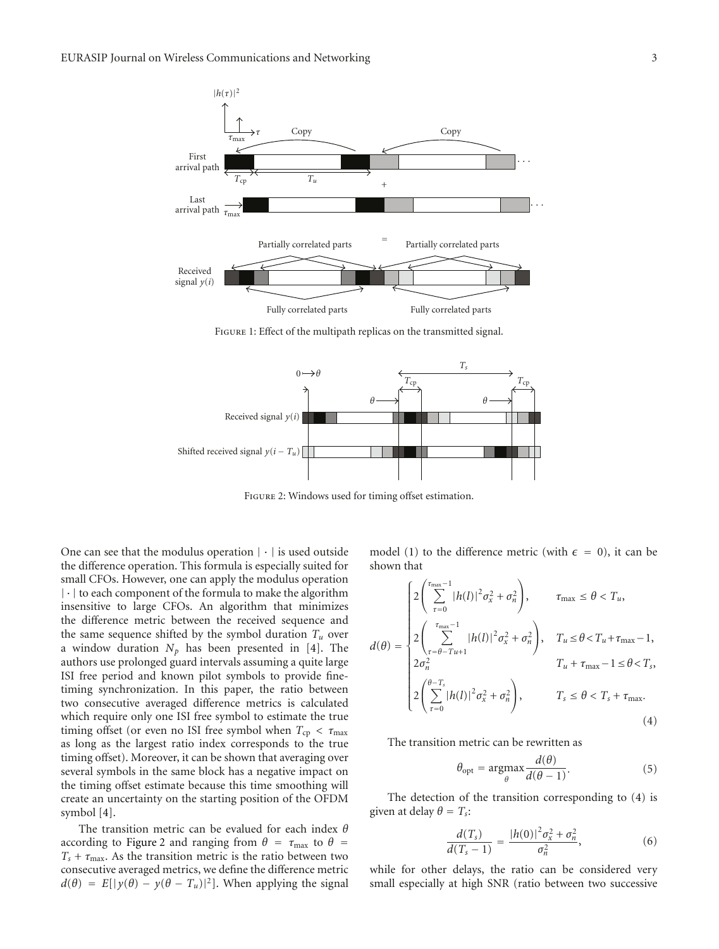

Figure 1: Effect of the multipath replicas on the transmitted signal.



Figure 2: Windows used for timing offset estimation.

One can see that the modulus operation  $|\cdot|$  is used outside the difference operation. This formula is especially suited for small CFOs. However, one can apply the modulus operation |·| to each component of the formula to make the algorithm insensitive to large CFOs. An algorithm that minimizes the difference metric between the received sequence and the same sequence shifted by the symbol duration  $T_u$  over a window duration  $N_p$  has been presented in [4]. The authors use prolonged guard intervals assuming a quite large ISI free period and known pilot symbols to provide finetiming synchronization. In this paper, the ratio between two consecutive averaged difference metrics is calculated which require only one ISI free symbol to estimate the true timing offset (or even no ISI free symbol when  $T_{cp} < \tau_{max}$ as long as the largest ratio index corresponds to the true timing offset). Moreover, it can be shown that averaging over several symbols in the same block has a negative impact on the timing offset estimate because this time smoothing will create an uncertainty on the starting position of the OFDM symbol [4].

The transition metric can be evalued for each index *θ* according to Figure 2 and ranging from  $\theta = \tau_{\text{max}}$  to  $\theta =$  $T_s + \tau_{\text{max}}$ . As the transition metric is the ratio between two consecutive averaged metrics, we define the difference metric  $d(\theta) = E[|y(\theta) - y(\theta - T_u)|^2]$ . When applying the signal

model (1) to the difference metric (with  $\epsilon = 0$ ), it can be shown that

$$
d(\theta) = \begin{cases} 2\left(\sum_{\tau=0}^{\tau_{\text{max}}-1} |h(l)|^2 \sigma_x^2 + \sigma_n^2\right), & \tau_{\text{max}} \le \theta < T_u, \\ 2\left(\sum_{\tau=\theta-Tu+1}^{\tau_{\text{max}}-1} |h(l)|^2 \sigma_x^2 + \sigma_n^2\right), & T_u \le \theta < T_u + \tau_{\text{max}} - 1, \\ 2\sigma_n^2 & T_u + \tau_{\text{max}} - 1 \le \theta < T_s, \\ 2\left(\sum_{\tau=0}^{\theta-T_s} |h(l)|^2 \sigma_x^2 + \sigma_n^2\right), & T_s \le \theta < T_s + \tau_{\text{max}}. \end{cases}
$$
(4)

The transition metric can be rewritten as

$$
\theta_{\rm opt} = \underset{\theta}{\text{argmax}} \frac{d(\theta)}{d(\theta - 1)}.
$$
\n(5)

The detection of the transition corresponding to (4) is given at delay  $\theta = T_s$ :

$$
\frac{d(T_s)}{d(T_s - 1)} = \frac{|h(0)|^2 \sigma_x^2 + \sigma_n^2}{\sigma_n^2},
$$
\n(6)

while for other delays, the ratio can be considered very small especially at high SNR (ratio between two successive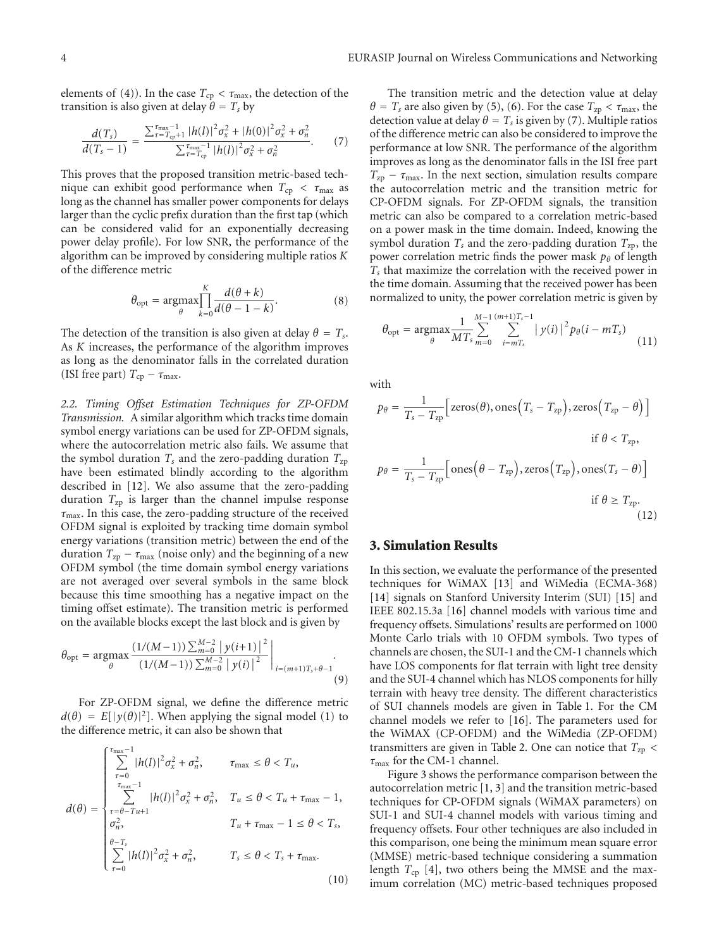elements of (4)). In the case  $T_{cp} < \tau_{max}$ , the detection of the transition is also given at delay  $\theta = T_s$  by

$$
\frac{d(T_s)}{d(T_s-1)} = \frac{\sum_{\tau=T_{cp}+1}^{T_{\text{max}}-1} |h(l)|^2 \sigma_x^2 + |h(0)|^2 \sigma_x^2 + \sigma_n^2}{\sum_{\tau=T_{cp}+1}^{T_{\text{max}}-1} |h(l)|^2 \sigma_x^2 + \sigma_n^2}.
$$
 (7)

This proves that the proposed transition metric-based technique can exhibit good performance when  $T_{cp} < \tau_{max}$  as long as the channel has smaller power components for delays larger than the cyclic prefix duration than the first tap (which can be considered valid for an exponentially decreasing power delay profile). For low SNR, the performance of the algorithm can be improved by considering multiple ratios *K* of the difference metric

$$
\theta_{\text{opt}} = \underset{\theta}{\text{argmax}} \prod_{k=0}^{K} \frac{d(\theta + k)}{d(\theta - 1 - k)}.
$$
 (8)

The detection of the transition is also given at delay  $\theta = T_s$ . As *K* increases, the performance of the algorithm improves as long as the denominator falls in the correlated duration (ISI free part)  $T_{cp} - \tau_{max}$ .

*2.2. Timing Offset Estimation Techniques for ZP-OFDM Transmission.* A similar algorithm which tracks time domain symbol energy variations can be used for ZP-OFDM signals, where the autocorrelation metric also fails. We assume that the symbol duration  $T_s$  and the zero-padding duration  $T_{zp}$ have been estimated blindly according to the algorithm described in [12]. We also assume that the zero-padding duration  $T_{zp}$  is larger than the channel impulse response *τ*max. In this case, the zero-padding structure of the received OFDM signal is exploited by tracking time domain symbol energy variations (transition metric) between the end of the duration  $T_{zp} - \tau_{max}$  (noise only) and the beginning of a new OFDM symbol (the time domain symbol energy variations are not averaged over several symbols in the same block because this time smoothing has a negative impact on the timing offset estimate). The transition metric is performed on the available blocks except the last block and is given by

$$
\theta_{\text{opt}} = \underset{\theta}{\text{argmax}} \frac{\left(1/(M-1)\right) \sum_{m=0}^{M-2} \left|y(i+1)\right|^2}{\left(1/(M-1)\right) \sum_{m=0}^{M-2} \left|y(i)\right|^2} \bigg|_{i=(m+1)T_s + \theta - 1}.
$$
\n(9)

For ZP-OFDM signal, we define the difference metric  $d(\theta) = E[|\gamma(\theta)|^2]$ . When applying the signal model (1) to the difference metric, it can also be shown that

$$
d(\theta) = \begin{cases} \sum_{\tau=0}^{\tau_{\text{max}}-1} |h(l)|^2 \sigma_x^2 + \sigma_n^2, & \tau_{\text{max}} \le \theta < T_u, \\ \sum_{\tau_{\text{max}}-1}^{\tau_{\text{max}}-1} |h(l)|^2 \sigma_x^2 + \sigma_n^2, & T_u \le \theta < T_u + \tau_{\text{max}} - 1, \\ \sigma_n^2, & T_u + \tau_{\text{max}} - 1 \le \theta < T_s, \\ \sum_{\tau=0}^{\theta-T_s} |h(l)|^2 \sigma_x^2 + \sigma_n^2, & T_s \le \theta < T_s + \tau_{\text{max}}. \end{cases}
$$
(10)

The transition metric and the detection value at delay  $\theta = T_s$  are also given by (5), (6). For the case  $T_{zp} < \tau_{max}$ , the detection value at delay  $\theta = T_s$  is given by (7). Multiple ratios of the difference metric can also be considered to improve the performance at low SNR. The performance of the algorithm improves as long as the denominator falls in the ISI free part  $T_{\text{zp}} - \tau_{\text{max}}$ . In the next section, simulation results compare the autocorrelation metric and the transition metric for CP-OFDM signals. For ZP-OFDM signals, the transition metric can also be compared to a correlation metric-based on a power mask in the time domain. Indeed, knowing the symbol duration  $T_s$  and the zero-padding duration  $T_{zp}$ , the power correlation metric finds the power mask *pθ* of length *Ts* that maximize the correlation with the received power in the time domain. Assuming that the received power has been normalized to unity, the power correlation metric is given by

$$
\theta_{\rm opt} = \underset{\theta}{\text{argmax}} \frac{1}{MT_s} \sum_{m=0}^{M-1} \sum_{i=mT_s}^{(m+1)T_s - 1} |y(i)|^2 p_{\theta}(i - mT_s)
$$
(11)

with

$$
p_{\theta} = \frac{1}{T_s - T_{\text{zp}}} \Big[ \text{zeros}(\theta), \text{ones} \Big( T_s - T_{\text{zp}} \Big), \text{zeros} \Big( T_{\text{zp}} - \theta \Big) \Big]
$$
  
if  $\theta < T_{\text{zp}},$   

$$
p_{\theta} = \frac{1}{T_s - T_{\text{zp}}} \Big[ \text{ones} \Big( \theta - T_{\text{zp}} \Big), \text{zeros} \Big( T_{\text{zp}} \Big), \text{ones} \Big( T_s - \theta \Big) \Big]
$$
  
if  $\theta \ge T_{\text{zp}}.$  (12)

#### **3. Simulation Results**

In this section, we evaluate the performance of the presented techniques for WiMAX [13] and WiMedia (ECMA-368) [14] signals on Stanford University Interim (SUI) [15] and IEEE 802.15.3a [16] channel models with various time and frequency offsets. Simulations' results are performed on 1000 Monte Carlo trials with 10 OFDM symbols. Two types of channels are chosen, the SUI-1 and the CM-1 channels which have LOS components for flat terrain with light tree density and the SUI-4 channel which has NLOS components for hilly terrain with heavy tree density. The different characteristics of SUI channels models are given in Table 1. For the CM channel models we refer to [16]. The parameters used for the WiMAX (CP-OFDM) and the WiMedia (ZP-OFDM) transmitters are given in Table 2. One can notice that *T*zp *< τ*max for the CM-1 channel.

Figure 3 shows the performance comparison between the autocorrelation metric [1, 3] and the transition metric-based techniques for CP-OFDM signals (WiMAX parameters) on SUI-1 and SUI-4 channel models with various timing and frequency offsets. Four other techniques are also included in this comparison, one being the minimum mean square error (MMSE) metric-based technique considering a summation length  $T_{cp}$  [4], two others being the MMSE and the maximum correlation (MC) metric-based techniques proposed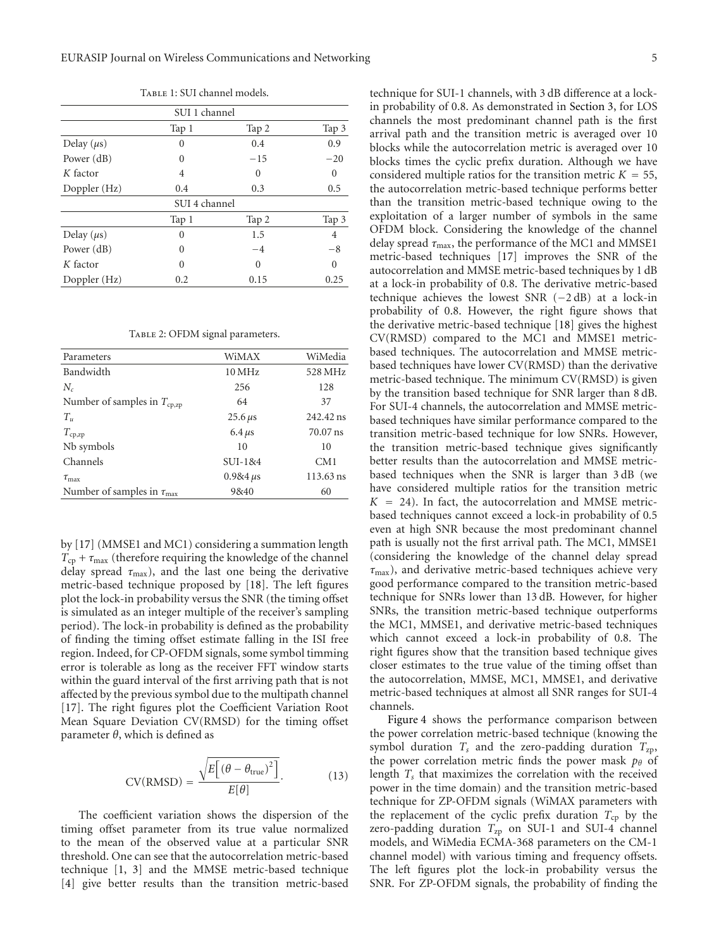| SUI 1 channel   |               |          |          |  |
|-----------------|---------------|----------|----------|--|
|                 | Tap 1         | Tap 2    | Tap 3    |  |
| Delay $(\mu s)$ | 0             | 0.4      | 0.9      |  |
| Power $(dB)$    | 0             | $-15$    | $-20$    |  |
| $K$ factor      | 4             | $\Omega$ | $\Omega$ |  |
| Doppler (Hz)    | 0.4           | 0.3      | 0.5      |  |
|                 | SUI 4 channel |          |          |  |
|                 | Tap 1         | Tap 2    | Tap 3    |  |
| Delay $(\mu s)$ | 0             | 1.5      | 4        |  |
| Power $(dB)$    | 0             | $-4$     | $-8$     |  |
| $K$ factor      | $\Omega$      | $\theta$ | $\Omega$ |  |
| Doppler (Hz)    | 0.2           | 0.15     | 0.25     |  |

TABLE 1: SUI channel models.

TABLE 2: OFDM signal parameters.

| Parameters                               | WiMAX              | WiMedia         |
|------------------------------------------|--------------------|-----------------|
| Bandwidth                                | $10\,\mathrm{MHz}$ | 528 MHz         |
| $N_c$                                    | 256                | 128             |
| Number of samples in $T_{cp,zp}$         | 64                 | 37              |
| $T_{\nu}$                                | $25.6 \,\mu s$     | 242.42 ns       |
| $T_{\mathrm{cp, zp}}$                    | 6.4 $\mu$ s        | $70.07$ ns      |
| Nb symbols                               | 10                 | 10              |
| Channels                                 | $SUI-184$          | CM <sub>1</sub> |
| $\tau_{\text{max}}$                      | $0.984 \,\mu s$    | 113.63 ns       |
| Number of samples in $\tau_{\text{max}}$ | 9&40               | 60              |

by [17] (MMSE1 and MC1) considering a summation length  $T_{cp} + \tau_{max}$  (therefore requiring the knowledge of the channel delay spread *τ*max), and the last one being the derivative metric-based technique proposed by [18]. The left figures plot the lock-in probability versus the SNR (the timing offset is simulated as an integer multiple of the receiver's sampling period). The lock-in probability is defined as the probability of finding the timing offset estimate falling in the ISI free region. Indeed, for CP-OFDM signals, some symbol timming error is tolerable as long as the receiver FFT window starts within the guard interval of the first arriving path that is not affected by the previous symbol due to the multipath channel [17]. The right figures plot the Coefficient Variation Root Mean Square Deviation CV(RMSD) for the timing offset parameter *θ*, which is defined as

$$
CV(RMSD) = \frac{\sqrt{E\left[\left(\theta - \theta_{true}\right)^{2}\right]}}{E[\theta]}.
$$
 (13)

The coefficient variation shows the dispersion of the timing offset parameter from its true value normalized to the mean of the observed value at a particular SNR threshold. One can see that the autocorrelation metric-based technique [1, 3] and the MMSE metric-based technique [4] give better results than the transition metric-based technique for SUI-1 channels, with 3 dB difference at a lockin probability of 0.8. As demonstrated in Section 3, for LOS channels the most predominant channel path is the first arrival path and the transition metric is averaged over 10 blocks while the autocorrelation metric is averaged over 10 blocks times the cyclic prefix duration. Although we have considered multiple ratios for the transition metric  $K = 55$ , the autocorrelation metric-based technique performs better than the transition metric-based technique owing to the exploitation of a larger number of symbols in the same OFDM block. Considering the knowledge of the channel delay spread *τ*max, the performance of the MC1 and MMSE1 metric-based techniques [17] improves the SNR of the autocorrelation and MMSE metric-based techniques by 1 dB at a lock-in probability of 0.8. The derivative metric-based technique achieves the lowest SNR (−2 dB) at a lock-in probability of 0.8. However, the right figure shows that the derivative metric-based technique [18] gives the highest CV(RMSD) compared to the MC1 and MMSE1 metricbased techniques. The autocorrelation and MMSE metricbased techniques have lower CV(RMSD) than the derivative metric-based technique. The minimum CV(RMSD) is given by the transition based technique for SNR larger than 8 dB. For SUI-4 channels, the autocorrelation and MMSE metricbased techniques have similar performance compared to the transition metric-based technique for low SNRs. However, the transition metric-based technique gives significantly better results than the autocorrelation and MMSE metricbased techniques when the SNR is larger than 3 dB (we have considered multiple ratios for the transition metric  $K = 24$ ). In fact, the autocorrelation and MMSE metricbased techniques cannot exceed a lock-in probability of 0.5 even at high SNR because the most predominant channel path is usually not the first arrival path. The MC1, MMSE1 (considering the knowledge of the channel delay spread *τ*max), and derivative metric-based techniques achieve very good performance compared to the transition metric-based technique for SNRs lower than 13 dB. However, for higher SNRs, the transition metric-based technique outperforms the MC1, MMSE1, and derivative metric-based techniques which cannot exceed a lock-in probability of 0.8. The right figures show that the transition based technique gives closer estimates to the true value of the timing offset than the autocorrelation, MMSE, MC1, MMSE1, and derivative metric-based techniques at almost all SNR ranges for SUI-4 channels.

Figure 4 shows the performance comparison between the power correlation metric-based technique (knowing the symbol duration  $T_s$  and the zero-padding duration  $T_{zp}$ , the power correlation metric finds the power mask *p*θ of length *Ts* that maximizes the correlation with the received power in the time domain) and the transition metric-based technique for ZP-OFDM signals (WiMAX parameters with the replacement of the cyclic prefix duration  $T_{cp}$  by the zero-padding duration  $T_{\text{zp}}$  on SUI-1 and SUI-4 channel models, and WiMedia ECMA-368 parameters on the CM-1 channel model) with various timing and frequency offsets. The left figures plot the lock-in probability versus the SNR. For ZP-OFDM signals, the probability of finding the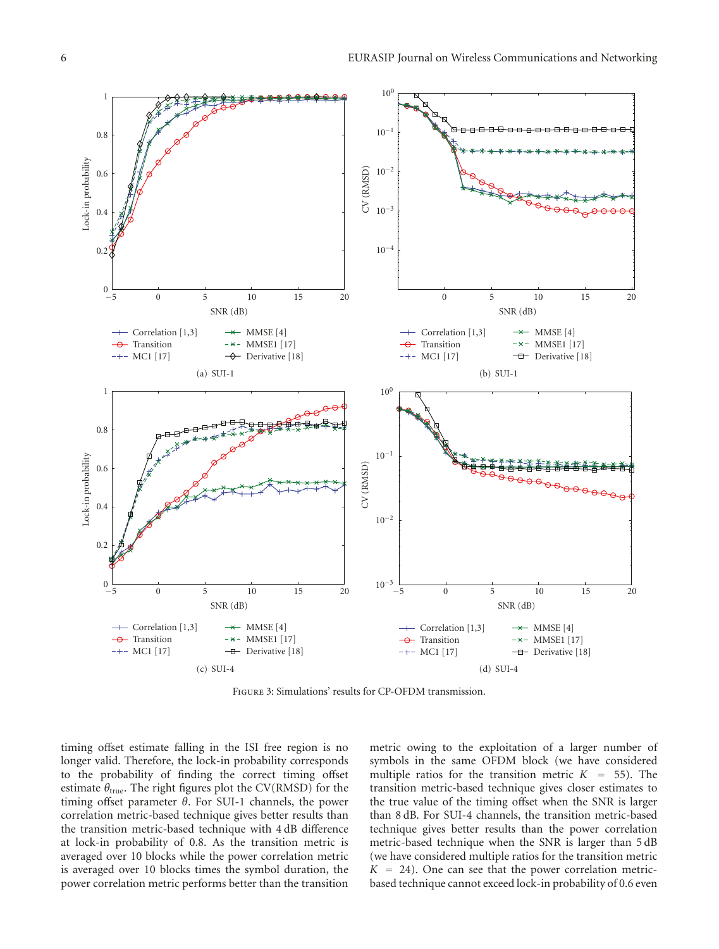

Figure 3: Simulations' results for CP-OFDM transmission.

timing offset estimate falling in the ISI free region is no longer valid. Therefore, the lock-in probability corresponds to the probability of finding the correct timing offset estimate  $\theta_{true}$ . The right figures plot the CV(RMSD) for the timing offset parameter *θ*. For SUI-1 channels, the power correlation metric-based technique gives better results than the transition metric-based technique with 4 dB difference at lock-in probability of 0.8. As the transition metric is averaged over 10 blocks while the power correlation metric is averaged over 10 blocks times the symbol duration, the power correlation metric performs better than the transition

metric owing to the exploitation of a larger number of symbols in the same OFDM block (we have considered multiple ratios for the transition metric  $K = 55$ ). The transition metric-based technique gives closer estimates to the true value of the timing offset when the SNR is larger than 8 dB. For SUI-4 channels, the transition metric-based technique gives better results than the power correlation metric-based technique when the SNR is larger than 5 dB (we have considered multiple ratios for the transition metric  $K = 24$ ). One can see that the power correlation metricbased technique cannot exceed lock-in probability of 0.6 even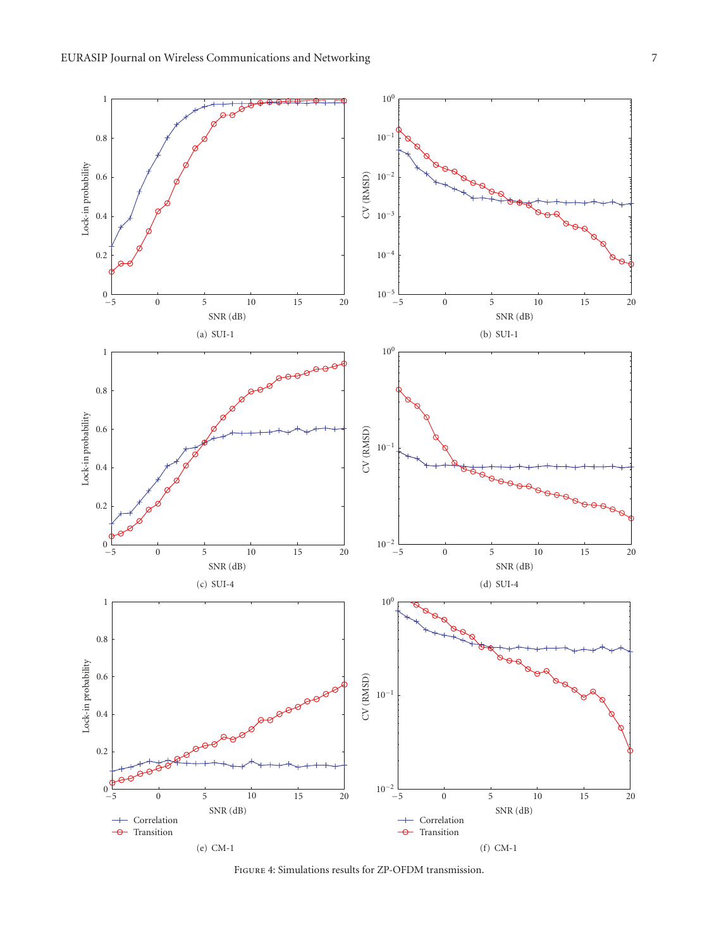

Figure 4: Simulations results for ZP-OFDM transmission.